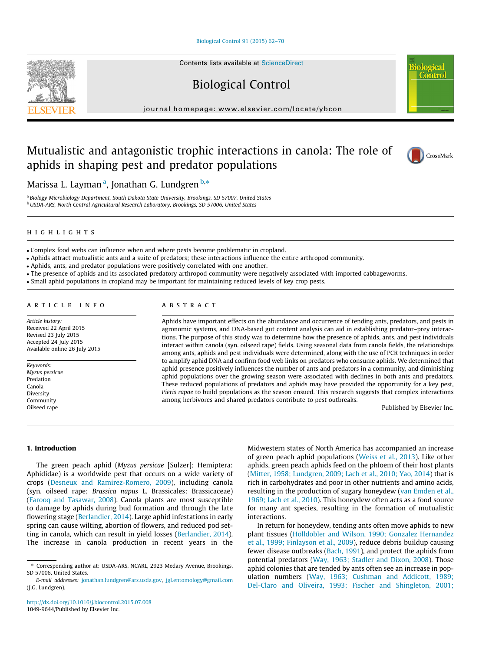### [Biological Control 91 \(2015\) 62–70](http://dx.doi.org/10.1016/j.biocontrol.2015.07.008)

Contents lists available at [ScienceDirect](http://www.sciencedirect.com/science/journal/10499644)

# Biological Control

journal homepage: [www.elsevier.com/locate/ybcon](http://www.elsevier.com/locate/ybcon)

## Mutualistic and antagonistic trophic interactions in canola: The role of aphids in shaping pest and predator populations



<sup>a</sup> Biology Microbiology Department, South Dakota State University, Brookings, SD 57007, United States **b** USDA-ARS, North Central Agricultural Research Laboratory, Brookings, SD 57006, United States

### highlights

- Complex food webs can influence when and where pests become problematic in cropland.
- Aphids attract mutualistic ants and a suite of predators; these interactions influence the entire arthropod community.
- Aphids, ants, and predator populations were positively correlated with one another.
- The presence of aphids and its associated predatory arthropod community were negatively associated with imported cabbageworms.
- Small aphid populations in cropland may be important for maintaining reduced levels of key crop pests.

#### article info

Article history: Received 22 April 2015 Revised 23 July 2015 Accepted 24 July 2015 Available online 26 July 2015

Keywords: Myzus persicae Predation Canola Diversity Community Oilseed rape

## **ABSTRACT**

Aphids have important effects on the abundance and occurrence of tending ants, predators, and pests in agronomic systems, and DNA-based gut content analysis can aid in establishing predator–prey interactions. The purpose of this study was to determine how the presence of aphids, ants, and pest individuals interact within canola (syn. oilseed rape) fields. Using seasonal data from canola fields, the relationships among ants, aphids and pest individuals were determined, along with the use of PCR techniques in order to amplify aphid DNA and confirm food web links on predators who consume aphids. We determined that aphid presence positively influences the number of ants and predators in a community, and diminishing aphid populations over the growing season were associated with declines in both ants and predators. These reduced populations of predators and aphids may have provided the opportunity for a key pest, Pieris rapae to build populations as the season ensued. This research suggests that complex interactions among herbivores and shared predators contribute to pest outbreaks.

Published by Elsevier Inc.

1. Introduction

The green peach aphid (Myzus persicae [Sulzer]; Hemiptera: Aphididae) is a worldwide pest that occurs on a wide variety of crops [\(Desneux and Ramirez-Romero, 2009](#page-7-0)), including canola (syn. oilseed rape; Brassica napus L. Brassicales: Brassicaceae) ([Farooq and Tasawar, 2008\)](#page-7-0). Canola plants are most susceptible to damage by aphids during bud formation and through the late flowering stage [\(Berlandier, 2014](#page-7-0)). Large aphid infestations in early spring can cause wilting, abortion of flowers, and reduced pod setting in canola, which can result in yield losses [\(Berlandier, 2014\)](#page-7-0). The increase in canola production in recent years in the

Midwestern states of North America has accompanied an increase of green peach aphid populations [\(Weiss et al., 2013](#page-8-0)). Like other aphids, green peach aphids feed on the phloem of their host plants ([Mitter, 1958; Lundgren, 2009; Lach et al., 2010; Yao, 2014\)](#page-7-0) that is rich in carbohydrates and poor in other nutrients and amino acids, resulting in the production of sugary honeydew ([van Emden et al.,](#page-7-0) [1969; Lach et al., 2010\)](#page-7-0). This honeydew often acts as a food source for many ant species, resulting in the formation of mutualistic interactions.

In return for honeydew, tending ants often move aphids to new plant tissues ([Hölldobler and Wilson, 1990; Gonzalez Hernandez](#page-7-0) [et al., 1999; Finlayson et al., 2009](#page-7-0)), reduce debris buildup causing fewer disease outbreaks [\(Bach, 1991](#page-7-0)), and protect the aphids from potential predators [\(Way, 1963; Stadler and Dixon, 2008](#page-8-0)). Those aphid colonies that are tended by ants often see an increase in population numbers ([Way, 1963; Cushman and Addicott, 1989;](#page-8-0) [Del-Claro and Oliveira, 1993; Fischer and Shingleton, 2001;](#page-8-0)





**Control** 

<sup>⇑</sup> Corresponding author at: USDA-ARS, NCARL, 2923 Medary Avenue, Brookings, SD 57006, United States

E-mail addresses: [jonathan.lundgren@ars.usda.gov](mailto:jonathan.lundgren@ars.usda.gov), [jgl.entomology@gmail.com](mailto:jgl.entomology@gmail.com) (J.G. Lundgren).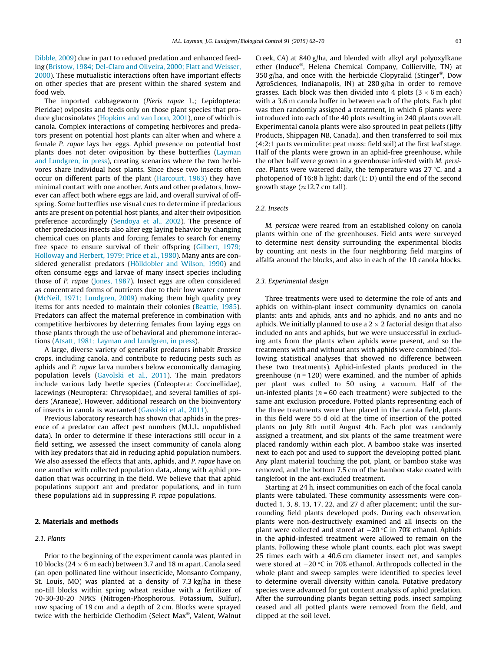[Dibble, 2009](#page-8-0)) due in part to reduced predation and enhanced feeding [\(Bristow, 1984; Del-Claro and Oliveira, 2000; Flatt and Weisser,](#page-7-0) [2000](#page-7-0)). These mutualistic interactions often have important effects on other species that are present within the shared system and food web.

The imported cabbageworm (Pieris rapae L.; Lepidoptera: Pieridae) oviposits and feeds only on those plant species that produce glucosinolates ([Hopkins and van Loon, 2001\)](#page-7-0), one of which is canola. Complex interactions of competing herbivores and predators present on potential host plants can alter when and where a female P. rapae lays her eggs. Aphid presence on potential host plants does not deter oviposition by these butterflies ([Layman](#page-7-0) [and Lundgren, in press\)](#page-7-0), creating scenarios where the two herbivores share individual host plants. Since these two insects often occur on different parts of the plant [\(Harcourt, 1963\)](#page-7-0) they have minimal contact with one another. Ants and other predators, however can affect both where eggs are laid, and overall survival of offspring. Some butterflies use visual cues to determine if predacious ants are present on potential host plants, and alter their oviposition preference accordingly [\(Sendoya et al., 2002](#page-7-0)). The presence of other predacious insects also alter egg laying behavior by changing chemical cues on plants and forcing females to search for enemy free space to ensure survival of their offspring [\(Gilbert, 1979;](#page-7-0) [Holloway and Herbert, 1979; Price et al., 1980\)](#page-7-0). Many ants are considered generalist predators ([Hölldobler and Wilson, 1990](#page-7-0)) and often consume eggs and larvae of many insect species including those of P. rapae [\(Jones, 1987\)](#page-7-0). Insect eggs are often considered as concentrated forms of nutrients due to their low water content ([McNeil, 1971; Lundgren, 2009\)](#page-7-0) making them high quality prey items for ants needed to maintain their colonies [\(Beattie, 1985\)](#page-7-0). Predators can affect the maternal preference in combination with competitive herbivores by deterring females from laying eggs on those plants through the use of behavioral and pheromone interactions ([Atsatt, 1981; Layman and Lundgren, in press\)](#page-7-0).

A large, diverse variety of generalist predators inhabit Brassica crops, including canola, and contribute to reducing pests such as aphids and P. rapae larva numbers below economically damaging population levels ([Gavolski et al., 2011\)](#page-7-0). The main predators include various lady beetle species (Coleoptera: Coccinellidae), lacewings (Neuroptera: Chrysopidae), and several families of spiders (Araneae). However, additional research on the bioinventory of insects in canola is warranted ([Gavolski et al., 2011\)](#page-7-0).

Previous laboratory research has shown that aphids in the presence of a predator can affect pest numbers (M.L.L. unpublished data). In order to determine if these interactions still occur in a field setting, we assessed the insect community of canola along with key predators that aid in reducing aphid population numbers. We also assessed the effects that ants, aphids, and P. rapae have on one another with collected population data, along with aphid predation that was occurring in the field. We believe that that aphid populations support ant and predator populations, and in turn these populations aid in suppressing P. rapae populations.

## 2. Materials and methods

#### 2.1. Plants

Prior to the beginning of the experiment canola was planted in 10 blocks (24  $\times$  6 m each) between 3.7 and 18 m apart. Canola seed (an open pollinated line without insecticide, Monsanto Company, St. Louis, MO) was planted at a density of 7.3 kg/ha in these no-till blocks within spring wheat residue with a fertilizer of 70-30-30-20 NPKS (Nitrogen-Phosphorous, Potassium, Sulfur), row spacing of 19 cm and a depth of 2 cm. Blocks were sprayed twice with the herbicide Clethodim (Select Max®, Valent, Walnut

Creek, CA) at 840 g/ha, and blended with alkyl aryl polyoxylkane ether (Induce®, Helena Chemical Company, Collierville, TN) at 350 g/ha, and once with the herbicide Clopyralid (Stinger<sup>®</sup>, Dow AgroSciences, Indianapolis, IN) at 280 g/ha in order to remove grasses. Each block was then divided into 4 plots  $(3 \times 6 \text{ m} \text{ each})$ with a 3.6 m canola buffer in between each of the plots. Each plot was then randomly assigned a treatment, in which 6 plants were introduced into each of the 40 plots resulting in 240 plants overall. Experimental canola plants were also sprouted in peat pellets (Jiffy Products, Shippagen NB, Canada), and then transferred to soil mix (4:2:1 parts vermiculite: peat moss: field soil) at the first leaf stage. Half of the plants were grown in an aphid-free greenhouse, while the other half were grown in a greenhouse infested with M. persicae. Plants were watered daily, the temperature was  $27 \text{ }^{\circ}$ C, and a photoperiod of 16:8 h light: dark (L: D) until the end of the second growth stage ( $\approx$ 12.7 cm tall).

### 2.2. Insects

M. persicae were reared from an established colony on canola plants within one of the greenhouses. Field ants were surveyed to determine nest density surrounding the experimental blocks by counting ant nests in the four neighboring field margins of alfalfa around the blocks, and also in each of the 10 canola blocks.

#### 2.3. Experimental design

Three treatments were used to determine the role of ants and aphids on within-plant insect community dynamics on canola plants: ants and aphids, ants and no aphids, and no ants and no aphids. We initially planned to use a  $2 \times 2$  factorial design that also included no ants and aphids, but we were unsuccessful in excluding ants from the plants when aphids were present, and so the treatments with and without ants with aphids were combined (following statistical analyses that showed no difference between these two treatments). Aphid-infested plants produced in the greenhouse ( $n = 120$ ) were examined, and the number of aphids per plant was culled to 50 using a vacuum. Half of the un-infested plants ( $n = 60$  each treatment) were subjected to the same ant exclusion procedure. Potted plants representing each of the three treatments were then placed in the canola field, plants in this field were 55 d old at the time of insertion of the potted plants on July 8th until August 4th. Each plot was randomly assigned a treatment, and six plants of the same treatment were placed randomly within each plot. A bamboo stake was inserted next to each pot and used to support the developing potted plant. Any plant material touching the pot, plant, or bamboo stake was removed, and the bottom 7.5 cm of the bamboo stake coated with tanglefoot in the ant-excluded treatment.

Starting at 24 h, insect communities on each of the focal canola plants were tabulated. These community assessments were conducted 1, 3, 8, 13, 17, 22, and 27 d after placement; until the surrounding field plants developed pods. During each observation, plants were non-destructively examined and all insects on the plant were collected and stored at  $-20$  °C in 70% ethanol. Aphids in the aphid-infested treatment were allowed to remain on the plants. Following these whole plant counts, each plot was swept 25 times each with a 40.6 cm diameter insect net, and samples were stored at  $-20$  °C in 70% ethanol. Arthropods collected in the whole plant and sweep samples were identified to species level to determine overall diversity within canola. Putative predatory species were advanced for gut content analysis of aphid predation. After the surrounding plants began setting pods, insect sampling ceased and all potted plants were removed from the field, and clipped at the soil level.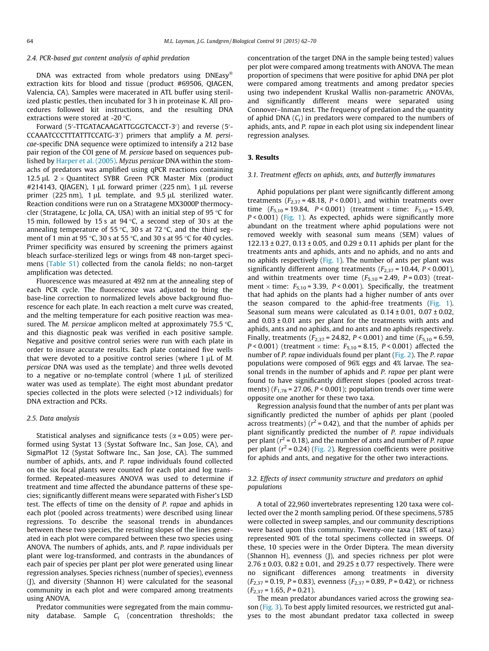#### 2.4. PCR-based gut content analysis of aphid predation

DNA was extracted from whole predators using DNEasy® extraction kits for blood and tissue (product #69506, QIAGEN, Valencia, CA). Samples were macerated in ATL buffer using sterilized plastic pestles, then incubated for 3 h in proteinase K. All procedures followed kit instructions, and the resulting DNA extractions were stored at -20 °C.

Forward (5'-TTGATACAAGATTGGGTCACCT-3') and reverse (5'-CCAAATCCCTTTATTTCCATG-3') primers that amplify a M. persicae-specific DNA sequence were optimized to intensify a 212 base pair region of the COI gene of M. persicae based on sequences published by [Harper et al. \(2005\)](#page-7-0). Myzus persicae DNA within the stomachs of predators was amplified using qPCR reactions containing 12.5  $\mu$ L 2 × Quantitect SYBR Green PCR Master Mix (product  $\#214143$ , QIAGEN), 1 µL forward primer (225 nm), 1 µL reverse primer (225 nm),  $1 \mu$ L template, and  $9.5 \mu$ L sterilized water. Reaction conditions were run on a Stratagene MX3000P thermocycler (Stratagene, Lc Jolla, CA, USA) with an initial step of 95  $\degree$ C for 15 min, followed by 15 s at 94  $\degree$ C, a second step of 30 s at the annealing temperature of 55 °C, 30 s at 72 °C, and the third segment of 1 min at 95 °C, 30 s at 55 °C, and 30 s at 95 °C for 40 cycles. Primer specificity was ensured by screening the primers against bleach surface-sterilized legs or wings from 48 non-target specimens (Table S1) collected from the canola fields; no non-target amplification was detected.

Fluorescence was measured at 492 nm at the annealing step of each PCR cycle. The fluorescence was adjusted to bring the base-line correction to normalized levels above background fluorescence for each plate. In each reaction a melt curve was created, and the melting temperature for each positive reaction was measured. The *M. persicae* amplicon melted at approximately 75.5  $\degree$ C, and this diagnostic peak was verified in each positive sample. Negative and positive control series were run with each plate in order to insure accurate results. Each plate contained five wells that were devoted to a positive control series (where  $1 \mu L$  of M. persicae DNA was used as the template) and three wells devoted to a negative or no-template control (where  $1 \mu$ L of sterilized water was used as template). The eight most abundant predator species collected in the plots were selected (>12 individuals) for DNA extraction and PCRs.

#### 2.5. Data analysis

Statistical analyses and significance tests ( $\alpha$  = 0.05) were performed using Systat 13 (Systat Software Inc., San Jose, CA), and SigmaPlot 12 (Systat Software Inc., San Jose, CA). The summed number of aphids, ants, and P. rapae individuals found collected on the six focal plants were counted for each plot and log transformed. Repeated-measures ANOVA was used to determine if treatment and time affected the abundance patterns of these species; significantly different means were separated with Fisher's LSD test. The effects of time on the density of P. rapae and aphids in each plot (pooled across treatments) were described using linear regressions. To describe the seasonal trends in abundances between these two species, the resulting slopes of the lines generated in each plot were compared between these two species using ANOVA. The numbers of aphids, ants, and P. rapae individuals per plant were log-transformed, and contrasts in the abundances of each pair of species per plant per plot were generated using linear regression analyses. Species richness (number of species), evenness (J), and diversity (Shannon H) were calculated for the seasonal community in each plot and were compared among treatments using ANOVA.

Predator communities were segregated from the main community database. Sample  $C_t$  (concentration thresholds; the

concentration of the target DNA in the sample being tested) values per plot were compared among treatments with ANOVA. The mean proportion of specimens that were positive for aphid DNA per plot were compared among treatments and among predator species using two independent Kruskal Wallis non-parametric ANOVAs, and significantly different means were separated using Connover–Inman test. The frequency of predation and the quantity of aphid DNA  $(C_t)$  in predators were compared to the numbers of aphids, ants, and P. rapae in each plot using six independent linear regression analyses.

## 3. Results

#### 3.1. Treatment effects on aphids, ants, and butterfly immatures

Aphid populations per plant were significantly different among treatments  $(F_{2,37} = 48.18, P < 0.001)$ , and within treatments over time  $(F_{5,10} = 19.84, P < 0.001)$  (treatment  $\times$  time:  $F_{5,10} = 15.49$ ,  $P < 0.001$ ) ([Fig. 1\)](#page-3-0). As expected, aphids were significantly more abundant on the treatment where aphid populations were not removed weekly with seasonal sum means (SEM) values of  $122.13 \pm 0.27$ , 0.13  $\pm$  0.05, and 0.29  $\pm$  0.11 aphids per plant for the treatments ants and aphids, ants and no aphids, and no ants and no aphids respectively [\(Fig. 1](#page-3-0)). The number of ants per plant was significantly different among treatments  $(F_{2,37} = 10.44, P < 0.001)$ , and within treatments over time  $(F_{5,10} = 2.49, P = 0.03)$  (treatment  $\times$  time:  $F_{5,10}$  = 3.39, P < 0.001). Specifically, the treatment that had aphids on the plants had a higher number of ants over the season compared to the aphid-free treatments ([Fig. 1\)](#page-3-0). Seasonal sum means were calculated as  $0.14 \pm 0.01$ ,  $0.07 \pm 0.02$ , and  $0.03 \pm 0.01$  ants per plant for the treatments with ants and aphids, ants and no aphids, and no ants and no aphids respectively. Finally, treatments ( $F_{2,37}$  = 24.82,  $P < 0.001$ ) and time ( $F_{5,10}$  = 6.59,  $P < 0.001$ ) (treatment  $\times$  time:  $F_{5,10} = 8.15$ ,  $P < 0.001$ ) affected the number of P. rapae individuals found per plant [\(Fig. 2](#page-4-0)). The P. rapae populations were composed of 96% eggs and 4% larvae. The seasonal trends in the number of aphids and P. rapae per plant were found to have significantly different slopes (pooled across treatments) ( $F_{1,78}$  = 27.06, P < 0.001); population trends over time were opposite one another for these two taxa.

Regression analysis found that the number of ants per plant was significantly predicted the number of aphids per plant (pooled across treatments) ( $r^2$  = 0.42), and that the number of aphids per plant significantly predicted the number of P. rapae individuals per plant ( $r^2$  = 0.18), and the number of ants and number of *P. rapae* per plant ( $r^2$  = 0.24) [\(Fig. 2\)](#page-4-0). Regression coefficients were positive for aphids and ants, and negative for the other two interactions.

## 3.2. Effects of insect community structure and predators on aphid populations

A total of 22,960 invertebrates representing 120 taxa were collected over the 2 month sampling period. Of these specimens, 5785 were collected in sweep samples, and our community descriptions were based upon this community. Twenty-one taxa (18% of taxa) represented 90% of the total specimens collected in sweeps. Of these, 10 species were in the Order Diptera. The mean diversity (Shannon H), evenness (J), and species richness per plot were  $2.76 \pm 0.03$ ,  $0.82 \pm 0.01$ , and  $29.25 \pm 0.77$  respectively. There were no significant differences among treatments in diversity  $(F_{2,37} = 0.19, P = 0.83)$ , evenness  $(F_{2,37} = 0.89, P = 0.42)$ , or richness  $(F_{2,37} = 1.65, P = 0.21).$ 

The mean predator abundances varied across the growing season ([Fig. 3\)](#page-4-0). To best apply limited resources, we restricted gut analyses to the most abundant predator taxa collected in sweep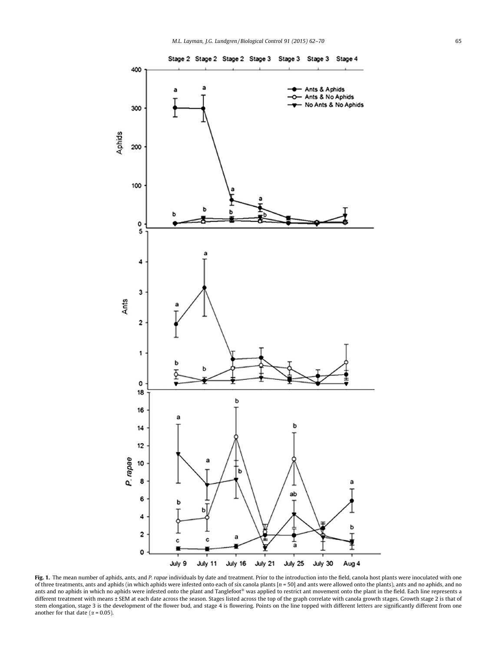<span id="page-3-0"></span>

Fig. 1. The mean number of aphids, ants, and P. rapae individuals by date and treatment. Prior to the introduction into the field, canola host plants were inoculated with one of three treatments, ants and aphids (in which aphids were infested onto each of six canola plants [n = 50] and ants were allowed onto the plants), ants and no aphids, and no ants and no aphids in which no aphids were infested onto the plant and Tanglefoot® was applied to restrict ant movement onto the plant in the field. Each line represents a different treatment with means ± SEM at each date across the season. Stages listed across the top of the graph correlate with canola growth stages. Growth stage 2 is that of stem elongation, stage 3 is the development of the flower bud, and stage 4 is flowering. Points on the line topped with different letters are significantly different from one another for that date ( $\alpha$  = 0.05).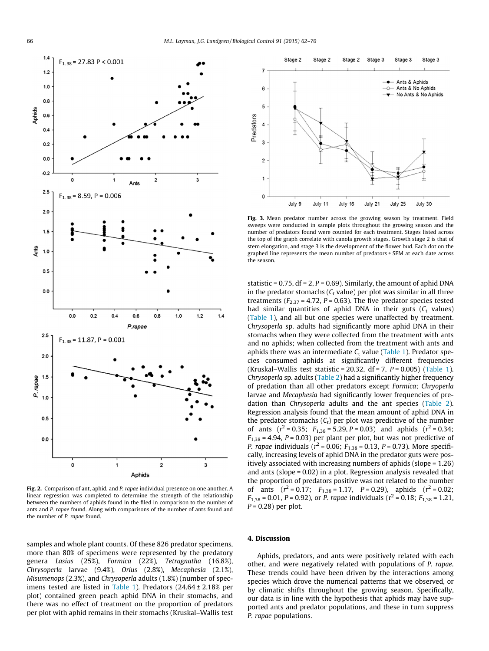<span id="page-4-0"></span>

Fig. 2. Comparison of ant, aphid, and P. rapae individual presence on one another. A linear regression was completed to determine the strength of the relationship between the numbers of aphids found in the filed in comparison to the number of ants and P. rapae found. Along with comparisons of the number of ants found and the number of P. rapae found.

samples and whole plant counts. Of these 826 predator specimens, more than 80% of specimens were represented by the predatory genera Lasius (25%), Formica (22%), Tetragnatha (16.8%), Chrysoperla larvae (9.4%), Orius (2.8%), Mecaphesia (2.1%), Misumenops (2.3%), and Chrysoperla adults (1.8%) (number of spec-imens tested are listed in [Table 1\)](#page-5-0). Predators  $(24.64 \pm 2.18\%)$  per plot) contained green peach aphid DNA in their stomachs, and there was no effect of treatment on the proportion of predators per plot with aphid remains in their stomachs (Kruskal–Wallis test



Fig. 3. Mean predator number across the growing season by treatment. Field sweeps were conducted in sample plots throughout the growing season and the number of predators found were counted for each treatment. Stages listed across the top of the graph correlate with canola growth stages. Growth stage 2 is that of stem elongation, and stage 3 is the development of the flower bud. Each dot on the graphed line represents the mean number of predators ± SEM at each date across the season.

statistic =  $0.75$ , df =  $2$ , P =  $0.69$ ). Similarly, the amount of aphid DNA in the predator stomachs ( $C_t$  value) per plot was similar in all three treatments ( $F_{2,37}$  = 4.72, P = 0.63). The five predator species tested had similar quantities of aphid DNA in their guts  $(C_t$  values) ([Table 1](#page-5-0)), and all but one species were unaffected by treatment. Chrysoperla sp. adults had significantly more aphid DNA in their stomachs when they were collected from the treatment with ants and no aphids; when collected from the treatment with ants and aphids there was an intermediate  $C_t$  value ([Table 1\)](#page-5-0). Predator species consumed aphids at significantly different frequencies (Kruskal–Wallis test statistic = 20.32, df = 7,  $P = 0.005$ ) ([Table 1\)](#page-5-0). Chrysoperla sp. adults ([Table 2\)](#page-6-0) had a significantly higher frequency of predation than all other predators except Formica; Chryoperla larvae and Mecaphesia had significantly lower frequencies of predation than Chrysoperla adults and the ant species ([Table 2\)](#page-6-0). Regression analysis found that the mean amount of aphid DNA in the predator stomachs  $(C_t)$  per plot was predictive of the number of ants  $(r^2 = 0.35; F_{1,38} = 5.29, P = 0.03)$  and aphids  $(r^2 = 0.34;$  $F_{1,38} = 4.94$ ,  $P = 0.03$ ) per plant per plot, but was not predictive of *P. rapae* individuals ( $r^2$  = 0.06;  $F_{1,38}$  = 0.13, *P* = 0.73). More specifically, increasing levels of aphid DNA in the predator guts were positively associated with increasing numbers of aphids (slope = 1.26) and ants (slope = 0.02) in a plot. Regression analysis revealed that the proportion of predators positive was not related to the number of ants  $(r^2 = 0.17; F_{1,38} = 1.17, P = 0.29)$ , aphids  $(r^2 = 0.02;$  $F_{1,38}$  = 0.01, P = 0.92), or P. rapae individuals ( $r^2$  = 0.18;  $F_{1,38}$  = 1.21,  $P = 0.28$ ) per plot.

#### 4. Discussion

Aphids, predators, and ants were positively related with each other, and were negatively related with populations of P. rapae. These trends could have been driven by the interactions among species which drove the numerical patterns that we observed, or by climatic shifts throughout the growing season. Specifically, our data is in line with the hypothesis that aphids may have supported ants and predator populations, and these in turn suppress P. rapae populations.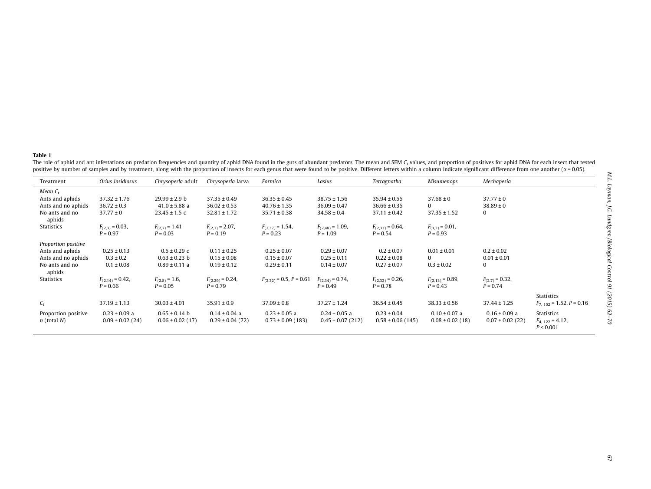#### <span id="page-5-0"></span>Table 1

The role of aphid and ant infestations on predation frequencies and quantity of aphid DNA found in the guts of abundant predators. The mean and SEM C<sub>t</sub> values, and proportion of positives for aphid DNA for each insect tha positive by number of samples and by treatment, along with the proportion of insects for each genus that were found to be positive. Different letters within a column indicate significant difference from one another  $(\alpha = 0$ 

| Treatment                               | Orius insidiosus                          | Chrysoperla adult                         | Chrysoperla larva                        | Formica                                    | Lasius                                     | Tetragnatha                              | Misumenops                                | Mechapesia                                |                                                         |
|-----------------------------------------|-------------------------------------------|-------------------------------------------|------------------------------------------|--------------------------------------------|--------------------------------------------|------------------------------------------|-------------------------------------------|-------------------------------------------|---------------------------------------------------------|
| Mean $C_{t}$                            |                                           |                                           |                                          |                                            |                                            |                                          |                                           |                                           |                                                         |
| Ants and aphids                         | $37.32 \pm 1.76$                          | $29.99 \pm 2.9$ b                         | $37.35 \pm 0.49$                         | $36.35 \pm 0.45$                           | $38.75 \pm 1.56$                           | $35.94 \pm 0.55$                         | $37.68 \pm 0$                             | $37.77 \pm 0$                             |                                                         |
| Ants and no aphids                      | $36.72 \pm 0.3$                           | $41.0 \pm 5.88$ a                         | $36.02 \pm 0.53$                         | $40.76 \pm 1.35$                           | $36.09 \pm 0.47$                           | $36.66 \pm 0.35$                         | 0                                         | $38.89 \pm 0$                             |                                                         |
| No ants and no<br>aphids                | $37.77 \pm 0$                             | $23.45 \pm 1.5$ c                         | $32.81 \pm 1.72$                         | $35.71 \pm 0.38$                           | $34.58 \pm 0.4$                            | $37.11 \pm 0.42$                         | $37.35 \pm 1.52$                          | $\bf{0}$                                  |                                                         |
| Statistics                              | $F_{(2,3)} = 0.03$ ,<br>$P = 0.97$        | $F_{(2,7)} = 1.41$<br>$P = 0.03$          | $F_{(2,7)} = 2.07$ ,<br>$P = 0.19$       | $F_{(2,37)} = 1.54$ ,<br>$P = 0.23$        | $F_{(2,48)} = 1.09$ ,<br>$P = 1.09$        | $F_{(2,33)} = 0.64$ ,<br>$P = 0.54$      | $F_{(1,2)} = 0.01$ ,<br>$P = 0.93$        |                                           |                                                         |
| Proportion positive                     |                                           |                                           |                                          |                                            |                                            |                                          |                                           |                                           |                                                         |
| Ants and aphids                         | $0.25 \pm 0.13$                           | $0.5 \pm 0.29$ c                          | $0.11 \pm 0.25$                          | $0.25 \pm 0.07$                            | $0.29 \pm 0.07$                            | $0.2 \pm 0.07$                           | $0.01 \pm 0.01$                           | $0.2 \pm 0.02$                            |                                                         |
| Ants and no aphids                      | $0.3 \pm 0.2$                             | $0.63 \pm 0.23$ b                         | $0.15 \pm 0.08$                          | $0.15 \pm 0.07$                            | $0.25 \pm 0.11$                            | $0.22 \pm 0.08$                          | $\Omega$                                  | $0.01 \pm 0.01$                           |                                                         |
| No ants and no<br>aphids                | $0.1 \pm 0.08$                            | $0.89 \pm 0.11$ a                         | $0.19 \pm 0.12$                          | $0.29 \pm 0.11$                            | $0.14 \pm 0.07$                            | $0.27 \pm 0.07$                          | $0.3 \pm 0.02$                            | $\bf{0}$                                  |                                                         |
| Statistics                              | $F_{(2,14)} = 0.42$ ,<br>$P = 0.66$       | $F_{(2,8)} = 1.6$ ,<br>$P = 0.05$         | $F_{(2,29)} = 0.24$ ,<br>$P = 0.79$      | $F_{(2,32)} = 0.5$ , $P = 0.61$            | $F_{(2,34)} = 0.74$ ,<br>$P = 0.49$        | $F_{(2,32)} = 0.26$ ,<br>$P = 0.78$      | $F_{(2,13)} = 0.89$ ,<br>$P = 0.43$       | $F_{(2,7)} = 0.32$ ,<br>$P = 0.74$        |                                                         |
|                                         |                                           |                                           |                                          |                                            |                                            |                                          |                                           |                                           | <b>Statistics</b>                                       |
| $C_{\rm t}$                             | $37.19 \pm 1.13$                          | $30.03 \pm 4.01$                          | $35.91 \pm 0.9$                          | $37.09 \pm 0.8$                            | $37.27 \pm 1.24$                           | $36.54 \pm 0.45$                         | $38.33 \pm 0.56$                          | $37.44 \pm 1.25$                          | $F_{7,152} = 1.52, P = 0.16$                            |
| Proportion positive<br>$n$ (total $N$ ) | $0.23 \pm 0.09$ a<br>$0.09 \pm 0.02$ (24) | $0.65 \pm 0.14$ b<br>$0.06 \pm 0.02$ (17) | $0.14 \pm 0.04$ a<br>$0.29 \pm 0.04(72)$ | $0.23 \pm 0.05$ a<br>$0.73 \pm 0.09$ (183) | $0.24 \pm 0.05$ a<br>$0.45 \pm 0.07$ (212) | $0.23 \pm 0.04$<br>$0.58 \pm 0.06$ (145) | $0.10 \pm 0.07$ a<br>$0.08 \pm 0.02$ (18) | $0.16 \pm 0.09$ a<br>$0.07 \pm 0.02$ (22) | <b>Statistics</b><br>$F_{4, 122} = 4.12$ ,<br>P < 0.001 |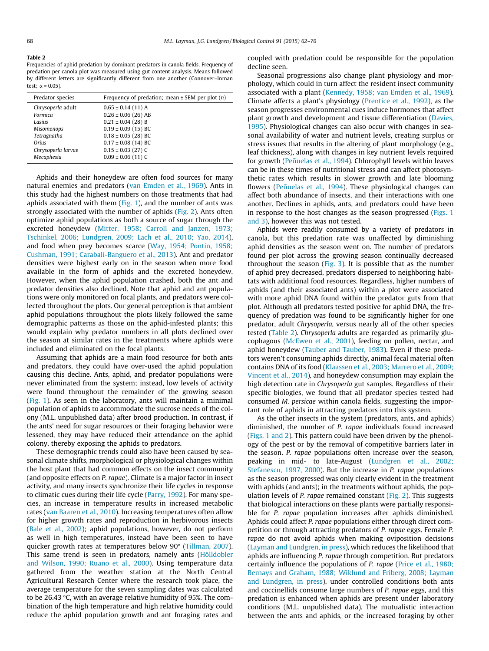<span id="page-6-0"></span>Table 2

Frequencies of aphid predation by dominant predators in canola fields. Frequency of predation per canola plot was measured using gut content analysis. Means followed by different letters are significantly different from one another (Connover–Inman test;  $\alpha$  = 0.05).

| Predator species                                                                                                               | Frequency of predation; mean $\pm$ SEM per plot $(n)$                                                                                                                                                            |  |  |  |  |
|--------------------------------------------------------------------------------------------------------------------------------|------------------------------------------------------------------------------------------------------------------------------------------------------------------------------------------------------------------|--|--|--|--|
| Chrysoperla adult<br>Formica<br>Lasius<br><b>Misomenops</b><br>Tetragnatha<br><b>Orius</b><br>Chrysoperla larvae<br>Mecaphesia | $0.65 \pm 0.14$ (11) A<br>$0.26 \pm 0.06$ (26) AB<br>$0.21 \pm 0.04$ (28) B<br>$0.19 \pm 0.09$ (15) BC<br>$0.18 \pm 0.05$ (28) BC<br>$0.17 \pm 0.08$ (14) BC<br>$0.15 \pm 0.03$ (27) C<br>$0.09 \pm 0.06$ (11) C |  |  |  |  |
|                                                                                                                                |                                                                                                                                                                                                                  |  |  |  |  |

Aphids and their honeydew are often food sources for many natural enemies and predators ([van Emden et al., 1969\)](#page-7-0). Ants in this study had the highest numbers on those treatments that had aphids associated with them  $(Fig. 1)$  $(Fig. 1)$  $(Fig. 1)$ , and the number of ants was strongly associated with the number of aphids [\(Fig. 2\)](#page-4-0). Ants often optimize aphid populations as both a source of sugar through the excreted honeydew [\(Mitter, 1958; Carroll and Janzen, 1973;](#page-7-0) [Tschinkel, 2006; Lundgren, 2009; Lach et al., 2010; Yao, 2014\)](#page-7-0), and food when prey becomes scarce [\(Way, 1954; Pontin, 1958;](#page-8-0) [Cushman, 1991; Carabali-Banguero et al., 2013](#page-8-0)). Ant and predator densities were highest early on in the season when more food available in the form of aphids and the excreted honeydew. However, when the aphid population crashed, both the ant and predator densities also declined. Note that aphid and ant populations were only monitored on focal plants, and predators were collected throughout the plots. Our general perception is that ambient aphid populations throughout the plots likely followed the same demographic patterns as those on the aphid-infested plants; this would explain why predator numbers in all plots declined over the season at similar rates in the treatments where aphids were included and eliminated on the focal plants.

Assuming that aphids are a main food resource for both ants and predators, they could have over-used the aphid population causing this decline. Ants, aphid, and predator populations were never eliminated from the system; instead, low levels of activity were found throughout the remainder of the growing season ([Fig. 1](#page-3-0)). As seen in the laboratory, ants will maintain a minimal population of aphids to accommodate the sucrose needs of the colony (M.L. unpublished data) after brood production. In contrast, if the ants' need for sugar resources or their foraging behavior were lessened, they may have reduced their attendance on the aphid colony, thereby exposing the aphids to predators.

These demographic trends could also have been caused by seasonal climate shifts, morphological or physiological changes within the host plant that had common effects on the insect community (and opposite effects on P. rapae). Climate is a major factor in insect activity, and many insects synchronize their life cycles in response to climatic cues during their life cycle ([Parry, 1992\)](#page-7-0). For many species, an increase in temperature results in increased metabolic rates [\(van Baaren et al., 2010\)](#page-7-0). Increasing temperatures often allow for higher growth rates and reproduction in herbivorous insects ([Bale et al., 2002\)](#page-7-0); aphid populations, however, do not perform as well in high temperatures, instead have been seen to have quicker growth rates at temperatures below  $90^{\circ}$  [\(Tillman, 2007\)](#page-7-0). This same trend is seen in predators, namely ants ([Hölldobler](#page-7-0) [and Wilson, 1990; Ruano et al., 2000\)](#page-7-0). Using temperature data gathered from the weather station at the North Central Agricultural Research Center where the research took place, the average temperature for the seven sampling dates was calculated to be 26.43  $\degree$ C, with an average relative humidity of 95%. The combination of the high temperature and high relative humidity could reduce the aphid population growth and ant foraging rates and coupled with predation could be responsible for the population decline seen.

Seasonal progressions also change plant physiology and morphology, which could in turn affect the resident insect community associated with a plant ([Kennedy, 1958; van Emden et al., 1969\)](#page-7-0). Climate affects a plant's physiology [\(Prentice et al., 1992](#page-7-0)), as the season progresses environmental cues induce hormones that affect plant growth and development and tissue differentiation ([Davies,](#page-7-0) [1995\)](#page-7-0). Physiological changes can also occur with changes in seasonal availability of water and nutrient levels, creating surplus or stress issues that results in the altering of plant morphology (e.g., leaf thickness), along with changes in key nutrient levels required for growth [\(Peñuelas et al., 1994\)](#page-7-0). Chlorophyll levels within leaves can be in these times of nutritional stress and can affect photosynthetic rates which results in slower growth and late blooming flowers [\(Peñuelas et al., 1994\)](#page-7-0). These physiological changes can affect both abundance of insects, and their interactions with one another. Declines in aphids, ants, and predators could have been in response to the host changes as the season progressed [\(Figs. 1](#page-3-0) [and 3](#page-3-0)), however this was not tested.

Aphids were readily consumed by a variety of predators in canola, but this predation rate was unaffected by diminishing aphid densities as the season went on. The number of predators found per plot across the growing season continually decreased throughout the season [\(Fig. 3](#page-4-0)). It is possible that as the number of aphid prey decreased, predators dispersed to neighboring habitats with additional food resources. Regardless, higher numbers of aphids (and their associated ants) within a plot were associated with more aphid DNA found within the predator guts from that plot. Although all predators tested positive for aphid DNA, the frequency of predation was found to be significantly higher for one predator, adult Chrysoperla, versus nearly all of the other species tested (Table 2). Chrysoperla adults are regarded as primarily glucophagous [\(McEwen et al., 2001\)](#page-7-0), feeding on pollen, nectar, and aphid honeydew [\(Tauber and Tauber, 1983](#page-7-0)). Even if these predators weren't consuming aphids directly, animal fecal material often contains DNA of its food ([Klaassen et al., 2003; Marrero et al., 2009;](#page-7-0) [Vincent et al., 2014\)](#page-7-0), and honeydew consumption may explain the high detection rate in Chrysoperla gut samples. Regardless of their specific biologies, we found that all predator species tested had consumed M. persicae within canola fields, suggesting the important role of aphids in attracting predators into this system.

As the other insects in the system (predators, ants, and aphids) diminished, the number of P. rapae individuals found increased ([Figs. 1 and 2\)](#page-3-0). This pattern could have been driven by the phenology of the pest or by the removal of competitive barriers later in the season. P. rapae populations often increase over the season, peaking in mid- to late-August ([Lundgren et al., 2002;](#page-7-0) [Stefanescu, 1997, 2000](#page-7-0)). But the increase in P. rapae populations as the season progressed was only clearly evident in the treatment with aphids (and ants); in the treatments without aphids, the population levels of P. rapae remained constant [\(Fig. 2\)](#page-4-0). This suggests that biological interactions on these plants were partially responsible for P. rapae population increases after aphids diminished. Aphids could affect P. rapae populations either through direct competition or through attracting predators of P. rapae eggs. Female P. rapae do not avoid aphids when making oviposition decisions ([Layman and Lundgren, in press\)](#page-7-0), which reduces the likelihood that aphids are influencing P. rapae through competition. But predators certainly influence the populations of P. rapae [\(Price et al., 1980;](#page-7-0) [Bernays and Graham, 1988; Wiklund and Friberg, 2008; Layman](#page-7-0) [and Lundgren, in press](#page-7-0)), under controlled conditions both ants and coccinellids consume large numbers of P. rapae eggs, and this predation is enhanced when aphids are present under laboratory conditions (M.L. unpublished data). The mutualistic interaction between the ants and aphids, or the increased foraging by other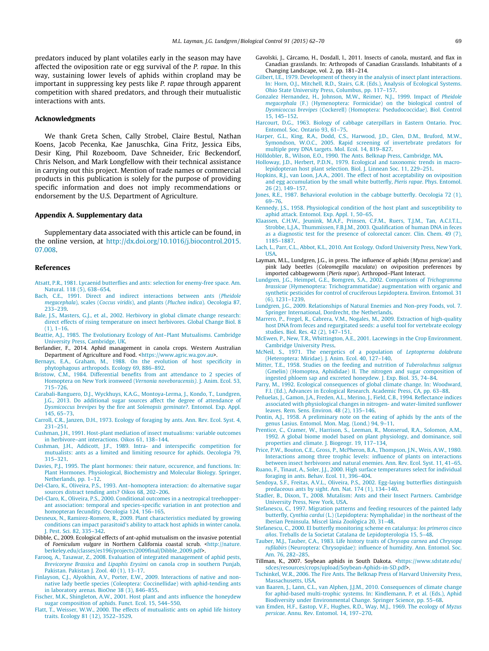<span id="page-7-0"></span>predators induced by plant volatiles early in the season may have affected the oviposition rate or egg survival of the P. rapae. In this way, sustaining lower levels of aphids within cropland may be important in suppressing key pests like P. rapae through apparent competition with shared predators, and through their mutualistic interactions with ants.

#### Acknowledgments

We thank Greta Schen, Cally Strobel, Claire Bestul, Nathan Koens, Jacob Pecenka, Kae Januschka, Gina Fritz, Jessica Eibs, Desir King, Phil Rozeboom, Dave Schneider, Eric Beckendorf, Chris Nelson, and Mark Longfellow with their technical assistance in carrying out this project. Mention of trade names or commercial products in this publication is solely for the purpose of providing specific information and does not imply recommendations or endorsement by the U.S. Department of Agriculture.

#### Appendix A. Supplementary data

Supplementary data associated with this article can be found, in the online version, at [http://dx.doi.org/10.1016/j.biocontrol.2015.](http://dx.doi.org/10.1016/j.biocontrol.2015.07.008) [07.008](http://dx.doi.org/10.1016/j.biocontrol.2015.07.008).

#### References

- [Atsatt, P.R., 1981. Lycaenid butterflies and ants: selection for enemy-free space. Am.](http://refhub.elsevier.com/S1049-9644(15)30013-X/h0005) [Natural. 118 \(5\), 638–654](http://refhub.elsevier.com/S1049-9644(15)30013-X/h0005).
- [Bach, C.E., 1991. Direct and indirect interactions between ants \(](http://refhub.elsevier.com/S1049-9644(15)30013-X/h0010)Pheidole megacephala), scales (Coccus viridis), and plants (Pluchea indica[\). Oecologia 87,](http://refhub.elsevier.com/S1049-9644(15)30013-X/h0010) [233–239](http://refhub.elsevier.com/S1049-9644(15)30013-X/h0010).
- [Bale, J.S., Masters, G.J., et al., 2002. Herbivory in global climate change research:](http://refhub.elsevier.com/S1049-9644(15)30013-X/h0015) [direct effects of rising temperature on insect herbivores. Global Change Biol. 8](http://refhub.elsevier.com/S1049-9644(15)30013-X/h0015) [\(1\), 1–16](http://refhub.elsevier.com/S1049-9644(15)30013-X/h0015).
- [Beattie, A.J., 1985. The Evolutionary Ecology of Ant–Plant Mutualisms. Cambridge](http://refhub.elsevier.com/S1049-9644(15)30013-X/h0020) [University Press, Cambridge, UK](http://refhub.elsevier.com/S1049-9644(15)30013-X/h0020).
- Berlandier, F., 2014. Aphid management in canola crops. Western Australian Department of Agriculture and Food. [<https://www.agric.wa.gov.au>](https://www.agric.wa.gov.au)
- [Bernays, E.A., Graham, M., 1988. On the evolution of host specificity in](http://refhub.elsevier.com/S1049-9644(15)30013-X/h0030) [phytophagous arthropods. Ecology 69, 886–892.](http://refhub.elsevier.com/S1049-9644(15)30013-X/h0030)
- [Bristow, C.M., 1984. Differential benefits from ant attendance to 2 species of](http://refhub.elsevier.com/S1049-9644(15)30013-X/h0035) [Homoptera on New York ironweed \(](http://refhub.elsevier.com/S1049-9644(15)30013-X/h0035)Vernonia noveboracensis). J. Anim. Ecol. 53, [715–726](http://refhub.elsevier.com/S1049-9644(15)30013-X/h0035).
- [Carabali-Banguero, D.J., Wyckhuys, K.A.G., Montoya-Lerma, J., Kondo, T., Lundgren,](http://refhub.elsevier.com/S1049-9644(15)30013-X/h0040) [J.G., 2013. Do additional sugar sources affect the degree of attendance of](http://refhub.elsevier.com/S1049-9644(15)30013-X/h0040) Dysmicoccus brevipes by the fire ant Solenopsis geminate?[. Entomol. Exp. Appl.](http://refhub.elsevier.com/S1049-9644(15)30013-X/h0040) [145, 65–73.](http://refhub.elsevier.com/S1049-9644(15)30013-X/h0040)
- [Carroll, C.R., Janzen, D.H., 1973. Ecology of foraging by ants. Ann. Rev. Ecol. Syst. 4,](http://refhub.elsevier.com/S1049-9644(15)30013-X/h0045) [231–251](http://refhub.elsevier.com/S1049-9644(15)30013-X/h0045).
- [Cushman, J.H., 1991. Host-plant mediation of insect mutualisms: variable outcomes](http://refhub.elsevier.com/S1049-9644(15)30013-X/h0050) [in herbivore–ant interactions. Oikos 61, 138–144](http://refhub.elsevier.com/S1049-9644(15)30013-X/h0050).
- [Cushman, J.H., Addicott, J.F., 1989. Intra- and interspecific competition for](http://refhub.elsevier.com/S1049-9644(15)30013-X/h0055) [mutualists: ants as a limited and limiting resource for aphids. Oecologia 79,](http://refhub.elsevier.com/S1049-9644(15)30013-X/h0055) [315–321](http://refhub.elsevier.com/S1049-9644(15)30013-X/h0055).
- [Davies, P.J., 1995. The plant hormones: their nature, occurence, and functions. In:](http://refhub.elsevier.com/S1049-9644(15)30013-X/h0060) [Plant Hormones. Physiological, Biochemistry and Molecular Biology. Springer,](http://refhub.elsevier.com/S1049-9644(15)30013-X/h0060) [Netherlands, pp. 1–12.](http://refhub.elsevier.com/S1049-9644(15)30013-X/h0060)
- [Del-Claro, K., Oliveira, P.S., 1993. Ant–homoptera interaction: do alternative sugar](http://refhub.elsevier.com/S1049-9644(15)30013-X/h0065) [sources distract tending ants? Oikos 68, 202–206.](http://refhub.elsevier.com/S1049-9644(15)30013-X/h0065)
- [Del-Claro, K., Oliveira, P.S., 2000. Conditional outcomes in a neotropical treehopper](http://refhub.elsevier.com/S1049-9644(15)30013-X/h0070)[ant association: temporal and species-specific variation in ant protection and](http://refhub.elsevier.com/S1049-9644(15)30013-X/h0070) [homopteran fecundity. Oecologia 124, 156–165](http://refhub.elsevier.com/S1049-9644(15)30013-X/h0070).
- [Desneux, N., Ramirez-Romero, R., 2009. Plant characteristics mediated by growing](http://refhub.elsevier.com/S1049-9644(15)30013-X/h0075) [conditions can impact parasitoid's ability to attack host aphids in winter canola.](http://refhub.elsevier.com/S1049-9644(15)30013-X/h0075) [J. Pest. Sci. 82, 335–342.](http://refhub.elsevier.com/S1049-9644(15)30013-X/h0075)
- Dibble, C., 2009. Ecological effects of ant-aphid mutualism on the invasive potential of Foeniculum vulgare in Northern California coastal scrub. [<http://nature.](http://nature.berkeley.edu/classes/es196/projects/2009final/Dibble_2009.pdf) [berkeley.edu/classes/es196/projects/2009final/Dibble\\_2009.pdf>](http://nature.berkeley.edu/classes/es196/projects/2009final/Dibble_2009.pdf).
- [Farooq, A., Tasawar, Z., 2008. Evaluation of integrated management of aphid pests,](http://refhub.elsevier.com/S1049-9644(15)30013-X/h0085) Brevicoryne Brassica and Lipaphis Erysimi [on canola crop in southern Punjab,](http://refhub.elsevier.com/S1049-9644(15)30013-X/h0085) [Pakistan. Pakistan J. Zool. 40 \(1\), 13–17.](http://refhub.elsevier.com/S1049-9644(15)30013-X/h0085)
- [Finlayson, C.J., Alyokhin, A.V., Porter, E.W., 2009. Interactions of native and non](http://refhub.elsevier.com/S1049-9644(15)30013-X/h0090)[native lady beetle species \(Coleoptera: Coccinellidae\) with aphid-tending ants](http://refhub.elsevier.com/S1049-9644(15)30013-X/h0090) [in laboratory arenas. BioOne 38 \(3\), 846–855](http://refhub.elsevier.com/S1049-9644(15)30013-X/h0090).
- [Fischer, M.K., Shingleton, A.W., 2001. Host plant and ants influence the honeydew](http://refhub.elsevier.com/S1049-9644(15)30013-X/h0095) [sugar composition of aphids. Funct. Ecol. 15, 544–550](http://refhub.elsevier.com/S1049-9644(15)30013-X/h0095).
- [Flatt, T., Weisser, W.W., 2000. The effects of mutualistic ants on aphid life history](http://refhub.elsevier.com/S1049-9644(15)30013-X/h0100) [traits. Ecology 81 \(12\), 3522–3529.](http://refhub.elsevier.com/S1049-9644(15)30013-X/h0100)
- Gavolski, J., Cárcamo, H., Dosdall, l., 2011. Insects of canola, mustard, and flax in Canadian grasslands. In: Arthropods of Canadian Grasslands. Inhabitants of a Changing Landscape, vol. 2, pp. 181–214.
- [Gilbert, I.E., 1979. Development of theory in the analysis of insect plant interactions.](http://refhub.elsevier.com/S1049-9644(15)30013-X/h0110) [In: Horn, O.J., Mitchell, R.D., Stairs, G.R. \(Eds.\), Analysis of Ecological Systems.](http://refhub.elsevier.com/S1049-9644(15)30013-X/h0110) [Ohio State University Press, Columbus, pp. 117–157.](http://refhub.elsevier.com/S1049-9644(15)30013-X/h0110)
- [Gonzalez Hernandez, H., Johnson, M.W., Reimer, N.J., 1999. Impact of](http://refhub.elsevier.com/S1049-9644(15)30013-X/h0115) Pheidole megacephala [\(F.\) \(Hymenoptera: Formicidae\) on the biological control of](http://refhub.elsevier.com/S1049-9644(15)30013-X/h0115) Dysmicoccus brevipes [\(Cockerell\) \(Homoptera: Psedudococcidae\). Biol. Control](http://refhub.elsevier.com/S1049-9644(15)30013-X/h0115) [15, 145–152](http://refhub.elsevier.com/S1049-9644(15)30013-X/h0115).
- [Harcourt, D.G., 1963. Biology of cabbage caterpillars in Eastern Ontario. Proc.](http://refhub.elsevier.com/S1049-9644(15)30013-X/h0120) [Entomol. Soc. Ontario 93, 61–75.](http://refhub.elsevier.com/S1049-9644(15)30013-X/h0120)
- [Harper, G.L., King, R.A., Dodd, C.S., Harwood, J.D., Glen, D.M., Bruford, M.W.,](http://refhub.elsevier.com/S1049-9644(15)30013-X/h0125) [Symondson, W.O.C., 2005. Rapid screening of invertebrate predators for](http://refhub.elsevier.com/S1049-9644(15)30013-X/h0125) [multiple prey DNA targets. Mol. Ecol. 14, 819–827](http://refhub.elsevier.com/S1049-9644(15)30013-X/h0125).
- [Hölldobler, B., Wilson, E.O., 1990. The Ants. Belknap Press, Cambridge, MA](http://refhub.elsevier.com/S1049-9644(15)30013-X/h0130).
- [Holloway, J.D., Herbert, P.D.N., 1979. Ecological and taxonomic trends in macro](http://refhub.elsevier.com/S1049-9644(15)30013-X/h0135)[lepidopteran host plant selection. Biol. J. Linnean Soc. 11, 229–251.](http://refhub.elsevier.com/S1049-9644(15)30013-X/h0135)
- [Hopkins, R.J., van Loon, J.A.A., 2001. The effect of host acceptability on oviposition](http://refhub.elsevier.com/S1049-9644(15)30013-X/h0140) [and egg accumulation by the small white butterfly,](http://refhub.elsevier.com/S1049-9644(15)30013-X/h0140) Pieris rapae. Phys. Entomol. [26 \(2\), 149–157](http://refhub.elsevier.com/S1049-9644(15)30013-X/h0140).
- [Jones, R.E., 1987. Behavioral evolution in the cabbage butterfly. Oecologia 72 \(1\),](http://refhub.elsevier.com/S1049-9644(15)30013-X/h0145) [69–76.](http://refhub.elsevier.com/S1049-9644(15)30013-X/h0145)
- [Kennedy, J.S., 1958. Physiological condition of the host plant and susceptibility to](http://refhub.elsevier.com/S1049-9644(15)30013-X/h0150) [aphid attack. Entomol. Exp. Appl. 1, 50–65](http://refhub.elsevier.com/S1049-9644(15)30013-X/h0150).
- [Klaassen, C.H.W., Jeunink, M.A.F., Prinsen, C.F.M., Ruers, T.J.M., Tan, A.C.I.T.L.,](http://refhub.elsevier.com/S1049-9644(15)30013-X/h0155) [Strobbe, L.J.A., Thummissen, F.B.J.M., 2003. Qualification of human DNA in feces](http://refhub.elsevier.com/S1049-9644(15)30013-X/h0155) [as a diagnostic test for the presence of colorectal cancer. Clin. Chem. 49 \(7\),](http://refhub.elsevier.com/S1049-9644(15)30013-X/h0155) [1185–1887.](http://refhub.elsevier.com/S1049-9644(15)30013-X/h0155)
- [Lach, L., Parr, C.L., Abbot, K.L., 2010. Ant Ecology. Oxford University Press, New York,](http://refhub.elsevier.com/S1049-9644(15)30013-X/h0160) [USA.](http://refhub.elsevier.com/S1049-9644(15)30013-X/h0160)
- Layman, M.L., Lundgren, J.G., in press. The influence of aphids (Myzus persicae) and pink lady beetles (Coleomegilla maculata) on oviposition preferences by imported cabbageworm (Pieris rapae). Arthropod–Plant Interact.
- [Lundgren, J.G., Heimpel, G.E., Bomgren, S.A., 2002. Comparisons of](http://refhub.elsevier.com/S1049-9644(15)30013-X/h0170) Trichogramma brassicae [\(Hymenoptera: Trichogrammatidae\) augmentation with organic and](http://refhub.elsevier.com/S1049-9644(15)30013-X/h0170) [synthetic pesticides for control of cruciferous Lepidoptera. Environ. Entomol. 31](http://refhub.elsevier.com/S1049-9644(15)30013-X/h0170) [\(6\), 1231–1239](http://refhub.elsevier.com/S1049-9644(15)30013-X/h0170).
- [Lundgren, J.G., 2009. Relationships of Natural Enemies and Non-prey Foods, vol. 7.](http://refhub.elsevier.com/S1049-9644(15)30013-X/h0175) [Springer International, Dordrecht, the Netherlands](http://refhub.elsevier.com/S1049-9644(15)30013-X/h0175).
- [Marrero, P., Fregel, R., Cabrera, V.M., Nogales, M., 2009. Extraction of high-quality](http://refhub.elsevier.com/S1049-9644(15)30013-X/h0180) [host DNA from feces and regurgitated seeds: a useful tool for vertebrate ecology](http://refhub.elsevier.com/S1049-9644(15)30013-X/h0180) [studies. Biol. Res. 42 \(2\), 147–151.](http://refhub.elsevier.com/S1049-9644(15)30013-X/h0180)
- [McEwen, P., New, T.R., Whittington, A.E., 2001. Lacewings in the Crop Environment.](http://refhub.elsevier.com/S1049-9644(15)30013-X/h0185) [Cambridge University Press](http://refhub.elsevier.com/S1049-9644(15)30013-X/h0185).
- [McNeil, S., 1971. The energetics of a population of](http://refhub.elsevier.com/S1049-9644(15)30013-X/h0190) Leptopterna dolabrata [\(Heteroptera: Miridae\). J. Anim. Ecol. 40, 127–140.](http://refhub.elsevier.com/S1049-9644(15)30013-X/h0190)
- [Mitter, T.E., 1958. Studies on the feeding and nutrition of](http://refhub.elsevier.com/S1049-9644(15)30013-X/h0195) Tuberolachnus salignus [\(Gmelin\) \(Homoptea, Aphididae\) II. The nitrogen and sugar composition of](http://refhub.elsevier.com/S1049-9644(15)30013-X/h0195) [ingested phloem sap and excreted honeydew. J. Exp. Biol. 35, 74–84](http://refhub.elsevier.com/S1049-9644(15)30013-X/h0195).
- [Parry, M., 1992. Ecological consequences of global climate change. In: Woodward,](http://refhub.elsevier.com/S1049-9644(15)30013-X/h0200) [F.I. \(Ed.\), Advances in Ecological Research. Academic Press, CA, pp. 63–88.](http://refhub.elsevier.com/S1049-9644(15)30013-X/h0200)
- [Peñuelas, J., Gamon, J.A., Freden, A.L., Merino, J., Field, C.B., 1994. Reflectance indices](http://refhub.elsevier.com/S1049-9644(15)30013-X/h0205) [associated with physiological changes in nitrogen- and water-limited sunflower](http://refhub.elsevier.com/S1049-9644(15)30013-X/h0205) [leaves. Rem. Sens. Environ. 48 \(2\), 135–146](http://refhub.elsevier.com/S1049-9644(15)30013-X/h0205).
- [Pontin, A.J., 1958. A preliminary note on the eating of aphids by the ants of the](http://refhub.elsevier.com/S1049-9644(15)30013-X/h0210) [genus Lasius. Entomol. Mon. Mag. \(Lond.\) 94, 9–11.](http://refhub.elsevier.com/S1049-9644(15)30013-X/h0210)
- [Prentice, C., Cramer, W., Harrison, S., Leeman, R., Monserud, R.A., Solomon, A.M.,](http://refhub.elsevier.com/S1049-9644(15)30013-X/h0215) [1992. A global biome model based on plant physiology, and dominance, soil](http://refhub.elsevier.com/S1049-9644(15)30013-X/h0215) [properties and climate. J. Biogeogr. 19, 117–134.](http://refhub.elsevier.com/S1049-9644(15)30013-X/h0215)
- [Price, P.W., Bouton, C.E., Gross, P., McPheron, B.A., Thompson, J.N., Weis, A.W., 1980.](http://refhub.elsevier.com/S1049-9644(15)30013-X/h0220) [Interactions among three trophic levels: influence of plants on interactions](http://refhub.elsevier.com/S1049-9644(15)30013-X/h0220) [between insect herbivores and natural enemies. Ann. Rev. Ecol. Syst. 11, 41–65.](http://refhub.elsevier.com/S1049-9644(15)30013-X/h0220)
- [Ruano, F., Tinaut, A., Soler, J.J., 2000. High surface temperatures select for individual](http://refhub.elsevier.com/S1049-9644(15)30013-X/h0225) [foraging in ants. Behav. Ecol. 11, 396–404](http://refhub.elsevier.com/S1049-9644(15)30013-X/h0225).
- [Sendoya, S.F., Freitas, A.V.L., Oliveira, P.S., 2002. Egg-laying butterflies distinguish](http://refhub.elsevier.com/S1049-9644(15)30013-X/h0235) [predaceous ants by sight. Am. Nat. 174 \(1\), 134–140.](http://refhub.elsevier.com/S1049-9644(15)30013-X/h0235)
- [Stadler, B., Dixon, T., 2008. Mutalism: Ants and their Insect Partners. Cambridge](http://refhub.elsevier.com/S1049-9644(15)30013-X/h0240) [University Press, New York, USA](http://refhub.elsevier.com/S1049-9644(15)30013-X/h0240).
- [Stefanescu, C., 1997. Migration patterns and feeding resources of the painted lady](http://refhub.elsevier.com/S1049-9644(15)30013-X/h0245) butterfly, Cynthia cardui [\(L.\) \(Lepidoptera: Nymphalidae\) in the northeast of the](http://refhub.elsevier.com/S1049-9644(15)30013-X/h0245) [Iberian Peninsula. Miscel lània Zoològica 20, 31–48.](http://refhub.elsevier.com/S1049-9644(15)30013-X/h0245)
- [Stefanescu, C., 2000. El butterfly monitoring scheme en catalunya:](http://refhub.elsevier.com/S1049-9644(15)30013-X/h0250) los primeros cinco años[. Treballs de la Societat Catalana de Lepidopterologia 15, 5–48](http://refhub.elsevier.com/S1049-9644(15)30013-X/h0250).
- [Tauber, M.J., Tauber, C.A., 1983. Life history traits of](http://refhub.elsevier.com/S1049-9644(15)30013-X/h0255) Chrysopa carnea and Chrysopa rufilabirs [\(Neuroptera: Chrysopidae\): influence of humidity. Ann. Entomol. Soc.](http://refhub.elsevier.com/S1049-9644(15)30013-X/h0255) [Am. 76, 282–285.](http://refhub.elsevier.com/S1049-9644(15)30013-X/h0255)
- Tillman, K., 2007. Soybean aphids in South Dakota. <[https://www.sdstate.edu/](https://www.sdstate.edu/sdces/resources/crops/upload/Soybean-Aphids-in-SD.pdf) [sdces/resources/crops/upload/Soybean-Aphids-in-SD.pdf>](https://www.sdstate.edu/sdces/resources/crops/upload/Soybean-Aphids-in-SD.pdf).
- [Tschinkel, W.R., 2006. The Fire Ants. The Belknap Press of Harvard University Press,](http://refhub.elsevier.com/S1049-9644(15)30013-X/h0265) [Massachusetts, USA.](http://refhub.elsevier.com/S1049-9644(15)30013-X/h0265)
- [van Baaren, J., Lann, C.L., van Alphen, J.J.M., 2010. Consequences of climate change](http://refhub.elsevier.com/S1049-9644(15)30013-X/h0270) [for aphid-based multi-trophic systems. In: Kindlemann, P. et al. \(Eds.\), Aphid](http://refhub.elsevier.com/S1049-9644(15)30013-X/h0270) [Biodiversity under Environmental Change. Springer Science, pp. 55–68.](http://refhub.elsevier.com/S1049-9644(15)30013-X/h0270)
- [van Emden, H.F., Eastop, V.F., Hughes, R.D., Way, M.J., 1969. The ecology of](http://refhub.elsevier.com/S1049-9644(15)30013-X/h0275) Myzus persicae[. Annu. Rev. Entomol. 14, 197–270](http://refhub.elsevier.com/S1049-9644(15)30013-X/h0275).